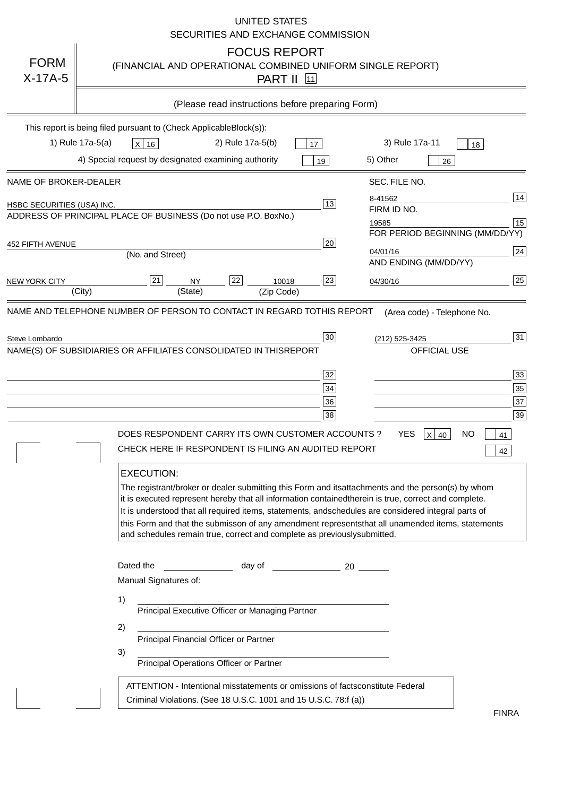|                                   | <b>UNITED STATES</b><br>SECURITIES AND EXCHANGE COMMISSION                                                                                                                                                                                                                                                                                                                                                                                                                                                                                                                                                                                                                                                                                                                                                                                                                                 |
|-----------------------------------|--------------------------------------------------------------------------------------------------------------------------------------------------------------------------------------------------------------------------------------------------------------------------------------------------------------------------------------------------------------------------------------------------------------------------------------------------------------------------------------------------------------------------------------------------------------------------------------------------------------------------------------------------------------------------------------------------------------------------------------------------------------------------------------------------------------------------------------------------------------------------------------------|
| <b>FORM</b><br>$X-17A-5$          | <b>FOCUS REPORT</b><br>(FINANCIAL AND OPERATIONAL COMBINED UNIFORM SINGLE REPORT)<br><b>PART II</b> 11                                                                                                                                                                                                                                                                                                                                                                                                                                                                                                                                                                                                                                                                                                                                                                                     |
|                                   | (Please read instructions before preparing Form)                                                                                                                                                                                                                                                                                                                                                                                                                                                                                                                                                                                                                                                                                                                                                                                                                                           |
|                                   | This report is being filed pursuant to (Check Applicable<br>$Block(s)$ :<br>3) Rule 17a-11<br>1) Rule 17a-5(a)<br>2) Rule 17a-5(b)<br>$X$ 16<br>17<br>18<br>4) Special request by designated examining authority<br>5) Other<br>19<br>26                                                                                                                                                                                                                                                                                                                                                                                                                                                                                                                                                                                                                                                   |
| NAME OF BROKER-DEALER             | SEC. FILE NO.                                                                                                                                                                                                                                                                                                                                                                                                                                                                                                                                                                                                                                                                                                                                                                                                                                                                              |
| <b>HSBC SECURITIES (USA) INC.</b> | 14<br>8-41562<br>13<br>FIRM ID NO.<br>ADDRESS OF PRINCIPAL PLACE OF BUSINESS (Do not use P.O. Box<br>No.)<br>15<br>19585<br>FOR PERIOD BEGINNING (MM/DD/YY)<br>20                                                                                                                                                                                                                                                                                                                                                                                                                                                                                                                                                                                                                                                                                                                          |
| <b>452 FIFTH AVENUE</b>           | 24<br>04/01/16<br>(No. and Street)<br>AND ENDING (MM/DD/YY)                                                                                                                                                                                                                                                                                                                                                                                                                                                                                                                                                                                                                                                                                                                                                                                                                                |
| <b>NEW YORK CITY</b>              | 25<br>22<br>21<br>23<br><b>NY</b><br>10018<br>04/30/16<br>(City)<br>(State)<br>(Zip Code)                                                                                                                                                                                                                                                                                                                                                                                                                                                                                                                                                                                                                                                                                                                                                                                                  |
| Steve Lombardo                    | (212) 525-3425<br>NAME(S) OF SUBSIDIARIES OR AFFILIATES CONSOLIDATED IN THIS<br><b>REPORT</b><br><b>OFFICIAL USE</b><br>$\overline{33}$<br>32<br>35<br>34<br>37<br>36<br>39<br>38<br>DOES RESPONDENT CARRY ITS OWN CUSTOMER ACCOUNTS?<br><b>YES</b><br>$X$ 40<br><b>NO</b><br>41<br>CHECK HERE IF RESPONDENT IS FILING AN AUDITED REPORT<br>42<br><b>EXECUTION:</b><br>The registrant/broker or dealer submitting this Form and its<br>attachments and the person(s) by whom<br>it is executed represent hereby that all information contained<br>therein is true, correct and complete.<br>It is understood that all required items, statements, and<br>schedules are considered integral parts of<br>this Form and that the submisson of any amendment represents<br>that all unamended items, statements<br>and schedules remain true, correct and complete as previously<br>submitted. |
|                                   | Dated the<br>day of<br>20<br>Manual Signatures of:<br>1)<br>Principal Executive Officer or Managing Partner<br>2)<br>Principal Financial Officer or Partner<br>3)<br>Principal Operations Officer or Partner                                                                                                                                                                                                                                                                                                                                                                                                                                                                                                                                                                                                                                                                               |
|                                   | ATTENTION - Intentional misstatements or omissions of facts<br>constitute Federal<br>Criminal Violations. (See 18 U.S.C. 1001 and 15 U.S.C. 78:f (a)<br>$\lambda$<br><b>FINRA</b>                                                                                                                                                                                                                                                                                                                                                                                                                                                                                                                                                                                                                                                                                                          |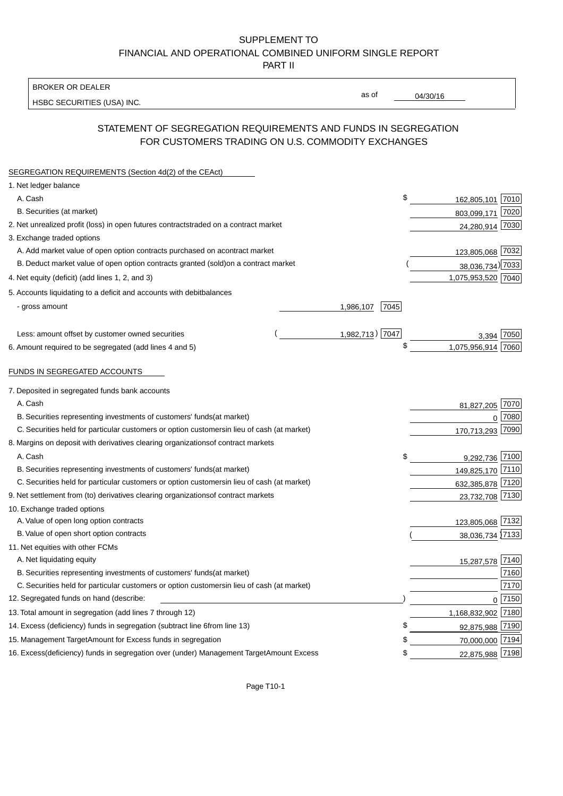BROKER OR DEALER

HSBC SECURITIES (USA) INC.

04/30/16

as of

# STATEMENT OF SEGREGATION REQUIREMENTS AND FUNDS IN SEGREGATION FOR CUSTOMERS TRADING ON U.S. COMMODITY EXCHANGES

| SEGREGATION REQUIREMENTS (Section 4d(2) of the CEAct)                                          |                                  |
|------------------------------------------------------------------------------------------------|----------------------------------|
| 1. Net ledger balance                                                                          |                                  |
| A. Cash                                                                                        | \$<br>162,805,101 7010           |
| B. Securities (at market)                                                                      | 7020<br>803,099,171              |
| 2. Net unrealized profit (loss) in open futures contracts<br>traded on a contract market       | 24,280,914 7030                  |
| 3. Exchange traded options                                                                     |                                  |
| A. Add market value of open option contracts purchased on a<br>contract market                 | 123,805,068 7032                 |
| B. Deduct market value of open option contracts granted (sold)<br>on a contract market         | 38,036,734) 7033                 |
| 4. Net equity (deficit) (add lines 1, 2, and 3)                                                | 1,075,953,520 7040               |
| 5. Accounts liquidating to a deficit and accounts with debit<br>balances                       |                                  |
| - gross amount                                                                                 | 1,986,107<br>7045                |
|                                                                                                |                                  |
| Less: amount offset by customer owned securities                                               | 1,982,713) 7047<br>7050<br>3,394 |
| 6. Amount required to be segregated (add lines 4 and 5)                                        | \$<br>1,075,956,914 7060         |
|                                                                                                |                                  |
| FUNDS IN SEGREGATED ACCOUNTS                                                                   |                                  |
| 7. Deposited in segregated funds bank accounts                                                 |                                  |
| A. Cash                                                                                        | 7070<br>81,827,205               |
| B. Securities representing investments of customers' funds<br>(at market)                      | 7080<br>$\Omega$                 |
| C. Securities held for particular customers or option customers<br>in lieu of cash (at market) | 7090<br>170,713,293              |
| 8. Margins on deposit with derivatives clearing organizations<br>of contract markets           |                                  |
| A. Cash                                                                                        | \$<br>9,292,736 7100             |
| B. Securities representing investments of customers' funds<br>(at market)                      | 149,825,170 7110                 |
| C. Securities held for particular customers or option customers<br>in lieu of cash (at market) | 632,385,878 7120                 |
| 9. Net settlement from (to) derivatives clearing organizations<br>of contract markets          | 23,732,708 7130                  |
| 10. Exchange traded options                                                                    |                                  |
| A. Value of open long option contracts                                                         | 123,805,068 7132                 |
| B. Value of open short option contracts                                                        | 38,036,734 7133                  |
| 11. Net equities with other FCMs                                                               |                                  |
| A. Net liquidating equity                                                                      | 15,287,578 7140                  |
| B. Securities representing investments of customers' funds<br>(at market)                      | 7160                             |
| C. Securities held for particular customers or option customers<br>in lieu of cash (at market) | 7170                             |
| 12. Segregated funds on hand (describe:                                                        | $0$ 7150                         |
| 13. Total amount in segregation (add lines 7 through 12)                                       | 1,168,832,902 7180               |
| 14. Excess (deficiency) funds in segregation (subtract line 6<br>from line 13)                 | S<br>92,875,988 7190             |
| 15. Management Target Amount for Excess funds in segregation                                   | 70,000,000 7194<br>S             |
| 16. Excess (deficiency) funds in segregation over (under) Management Target Amount Excess      | 22,875,988 7198<br>\$            |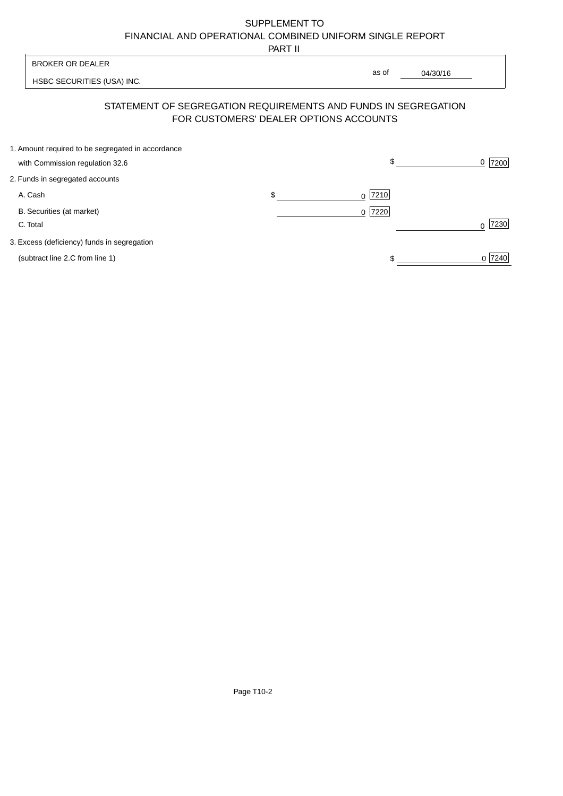PART II

|                                                                                      | .                                      |                                                                |                  |
|--------------------------------------------------------------------------------------|----------------------------------------|----------------------------------------------------------------|------------------|
| <b>BROKER OR DEALER</b>                                                              |                                        |                                                                |                  |
| HSBC SECURITIES (USA) INC.                                                           |                                        | as of<br>04/30/16                                              |                  |
|                                                                                      | FOR CUSTOMERS' DEALER OPTIONS ACCOUNTS | STATEMENT OF SEGREGATION REQUIREMENTS AND FUNDS IN SEGREGATION |                  |
| 1. Amount required to be segregated in accordance<br>with Commission regulation 32.6 |                                        | \$                                                             | 7200<br>0        |
|                                                                                      |                                        |                                                                |                  |
| 2. Funds in segregated accounts                                                      |                                        |                                                                |                  |
| A. Cash                                                                              | \$                                     | 7210<br>0                                                      |                  |
| B. Securities (at market)                                                            |                                        | 7220<br>$\Omega$                                               |                  |
| C. Total                                                                             |                                        |                                                                | 7230<br>$\Omega$ |
| 3. Excess (deficiency) funds in segregation                                          |                                        |                                                                |                  |
| (subtract line 2.C from line 1)                                                      |                                        |                                                                | 0 7240           |
|                                                                                      |                                        |                                                                |                  |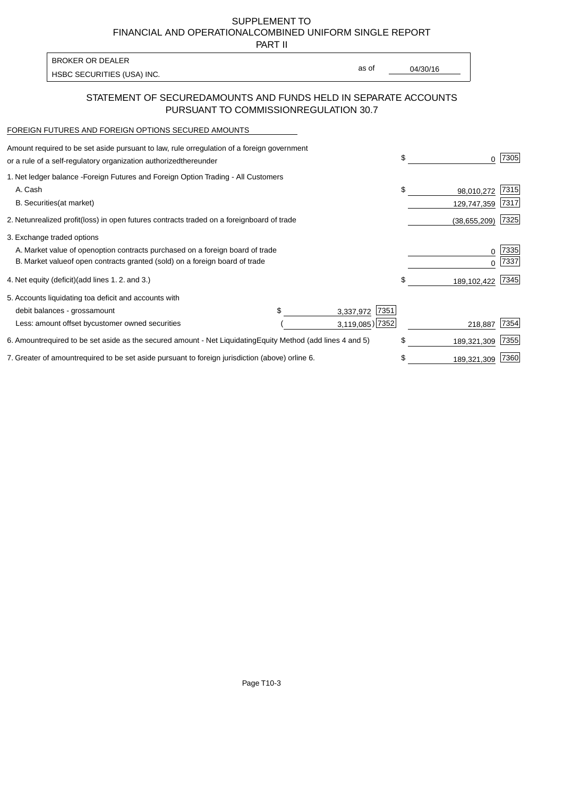PART II

HSBC SECURITIES (USA) INC. The state of the second second second second second second second second second second second second second second second second second second second second second second second second second sec BROKER OR DEALER

as of

### STATEMENT OF SECURED AMOUNTS AND FUNDS HELD IN SEPARATE ACCOUNTS PURSUANT TO COMMISSION REGULATION 30.7

#### FOREIGN FUTURES AND FOREIGN OPTIONS SECURED AMOUNTS

| Amount required to be set aside pursuant to law, rule or<br>regulation of a foreign government<br>or a rule of a self-regulatory organization authorized<br>thereunder                       |                |                                   | \$<br>0                         | 7305         |
|----------------------------------------------------------------------------------------------------------------------------------------------------------------------------------------------|----------------|-----------------------------------|---------------------------------|--------------|
| 1. Net ledger balance - Foreign Futures and Foreign Option Trading - All Customers<br>A. Cash<br><b>B.</b> Securities<br>(at market)                                                         |                |                                   | \$<br>98,010,272<br>129,747,359 | 7315<br>7317 |
| 2. Net unrealized profit (loss) in open futures contracts traded on a foreign                                                                                                                | board of trade |                                   | (38, 655, 209)                  | 7325         |
| 3. Exchange traded options<br>A. Market value of open option contracts purchased on a foreign board of trade<br>B. Market value of open contracts granted (sold) on a foreign board of trade |                |                                   | 0<br>U                          | 7335<br>7337 |
| 4. Net equity (deficit) (add lines 1.2. and 3.)                                                                                                                                              |                |                                   | \$<br>189,102,422               | 7345         |
| 5. Accounts liquidating to a deficit and accounts with<br>debit balances - gross<br>amount                                                                                                   |                | 7351<br>3,337,972                 |                                 |              |
| Less: amount offset by customer owned securities                                                                                                                                             |                | $3,119,085$ ) 7352                | 218,887                         | 7354         |
| 6. Amount required to be set aside as the secured amount - Net Liquidating                                                                                                                   |                | Equity Method (add lines 4 and 5) | \$<br>189,321,309               | 7355         |
| 7. Greater of amount required to be set aside pursuant to foreign jurisdiction (above) or                                                                                                    | line 6.        |                                   | \$<br>189,321,309               | 7360         |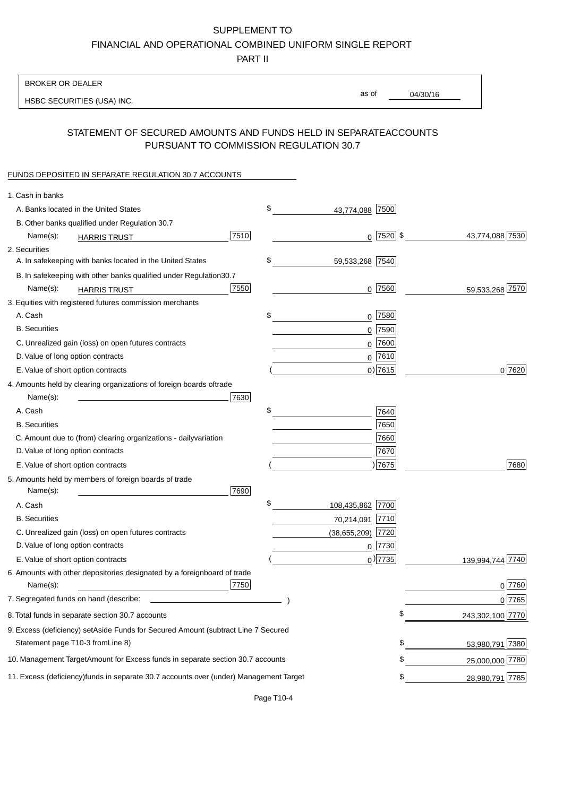PART II

| <b>BROKER OR DEALER</b>                                                                           |                        |               |                 |                  |
|---------------------------------------------------------------------------------------------------|------------------------|---------------|-----------------|------------------|
| HSBC SECURITIES (USA) INC.                                                                        | as of                  |               | 04/30/16        |                  |
| STATEMENT OF SECURED AMOUNTS AND FUNDS HELD IN SEPARATE<br>PURSUANT TO COMMISSION REGULATION 30.7 |                        |               | <b>ACCOUNTS</b> |                  |
| FUNDS DEPOSITED IN SEPARATE REGULATION 30.7 ACCOUNTS                                              |                        |               |                 |                  |
| 1. Cash in banks                                                                                  |                        |               |                 |                  |
| A. Banks located in the United States                                                             | \$<br>43,774,088 7500  |               |                 |                  |
| B. Other banks qualified under Regulation 30.7                                                    |                        |               |                 |                  |
| 7510<br>Name(s):<br><b>HARRIS TRUST</b>                                                           |                        | $0$  7520  \$ |                 | 43,774,088 7530  |
| 2. Securities                                                                                     |                        |               |                 |                  |
| A. In safekeeping with banks located in the United States                                         | \$<br>59,533,268 7540  |               |                 |                  |
| B. In safekeeping with other banks qualified under Regulation<br>30.7                             |                        |               |                 |                  |
| 7550<br>Name(s):<br><b>HARRIS TRUST</b>                                                           | $0$ 7560               |               |                 | 59,533,268 7570  |
| 3. Equities with registered futures commission merchants                                          |                        |               |                 |                  |
| A. Cash                                                                                           | \$<br>$0$ 7580         |               |                 |                  |
| <b>B.</b> Securities                                                                              | $0$ 7590               |               |                 |                  |
| C. Unrealized gain (loss) on open futures contracts                                               | $0$ 7600               |               |                 |                  |
| D. Value of long option contracts                                                                 | $0^{7610}$             |               |                 |                  |
| E. Value of short option contracts                                                                | $0$ ) 7615             |               |                 | 0 7620           |
| 4. Amounts held by clearing organizations of foreign boards of<br>trade                           |                        |               |                 |                  |
| Name(s):<br>7630                                                                                  |                        |               |                 |                  |
| A. Cash                                                                                           | \$                     | 7640          |                 |                  |
| <b>B.</b> Securities                                                                              |                        | 7650          |                 |                  |
| C. Amount due to (from) clearing organizations - daily<br>variation                               |                        | 7660          |                 |                  |
| D. Value of long option contracts                                                                 |                        | 7670          |                 |                  |
| E. Value of short option contracts                                                                | )7675                  |               |                 | 7680             |
| 5. Amounts held by members of foreign boards of trade<br>Name(s):<br>7690                         |                        |               |                 |                  |
| A. Cash                                                                                           | \$<br>108,435,862 7700 |               |                 |                  |
| <b>B.</b> Securities                                                                              | 70,214,091 7710        |               |                 |                  |
| C. Unrealized gain (loss) on open futures contracts                                               | $(38,655,209)$ 7720    |               |                 |                  |
| D. Value of long option contracts                                                                 | $0$ 7730               |               |                 |                  |
| E. Value of short option contracts                                                                | $_0$ ) 7735            |               |                 | 139,994,744 7740 |
| 6. Amounts with other depositories designated by a foreign<br>board of trade<br>7750<br>Name(s):  |                        |               |                 | 0 7760           |
| 7. Segregated funds on hand (describe:                                                            |                        |               |                 | 0 7765           |
| 8. Total funds in separate section 30.7 accounts                                                  |                        | \$            |                 | 243,302,100 7770 |
| 9. Excess (deficiency) set Aside Funds for Secured Amount (subtract Line 7 Secured                |                        |               |                 |                  |
| Statement page T10-3 from Line 8)                                                                 |                        | \$            |                 | 53,980,791 7380  |
| 10. Management Target Amount for Excess funds in separate section 30.7 accounts                   |                        | \$            |                 | 25,000,000 7780  |
| 11. Excess (deficiency) funds in separate 30.7 accounts over (under) Management Target            |                        | \$            |                 | 28,980,791 7785  |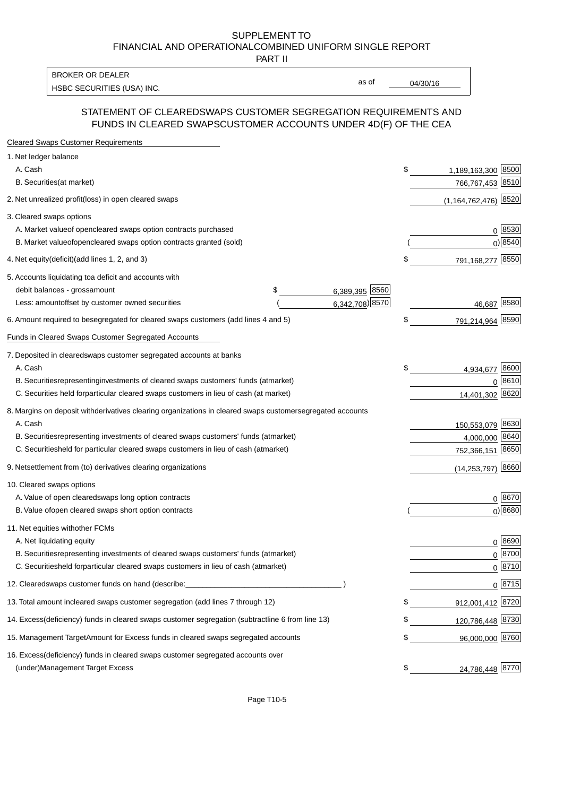PART II

HSBC SECURITIES (USA) INC. The contract of the contract of the contract of the contract of the contract of the contract of the contract of the contract of the contract of the contract of the contract of the contract of the BROKER OR DEALER

as of

#### STATEMENT OF CLEARED SWAPS CUSTOMER SEGREGATION REQUIREMENTS AND FUNDS IN CLEARED SWAPS CUSTOMER ACCOUNTS UNDER 4D(F) OF THE CEA

| <b>Cleared Swaps Customer Requirements</b>                                                                  |                           |
|-------------------------------------------------------------------------------------------------------------|---------------------------|
| 1. Net ledger balance                                                                                       |                           |
| A. Cash                                                                                                     | \$<br>1,189,163,300 8500  |
| B. Securities (at market)                                                                                   | 766,767,453 8510          |
| 2. Net unrealized profit (loss) in open cleared swaps                                                       | $(1, 164, 762, 476)$ 8520 |
| 3. Cleared swaps options                                                                                    |                           |
| A. Market value of open cleared swaps option contracts purchased                                            | 0   8530                  |
| B. Market value of open cleared swaps option contracts granted (sold)                                       | $0)$ 8540                 |
| 4. Net equity (deficit) (add lines 1, 2, and 3)                                                             | \$<br>791,168,277 8550    |
| 5. Accounts liquidating to a deficit and accounts with                                                      |                           |
| 6,389,395 8560<br>debit balances - gross amount<br>\$                                                       |                           |
| 6,342,708) 8570<br>Less: amount offset by customer owned securities                                         | 46,687 8580               |
| 6. Amount required to be segregated for cleared swaps customers (add lines 4 and 5)                         | \$<br>791,214,964 8590    |
| Funds in Cleared Swaps Customer Segregated Accounts                                                         |                           |
| 7. Deposited in cleared swaps customer segregated accounts at banks                                         |                           |
| A. Cash                                                                                                     | \$<br>8600<br>4,934,677   |
| B. Securities representing investments of cleared swaps customers' funds (at market)                        | 0 8610                    |
| C. Securities held for particular cleared swaps customers in lieu of cash (at market)                       | 14,401,302 8620           |
| 8. Margins on deposit with derivatives clearing organizations in cleared swaps customer segregated accounts |                           |
| A. Cash                                                                                                     | 150,553,079 8630          |
| B. Securities representing investments of cleared swaps customers' funds (at market)                        | 8640<br>4,000,000         |
| C. Securities<br>held for particular cleared swaps customers in lieu of cash (at market)                    | 752,366,151 8650          |
| 9. Net settlement from (to) derivatives clearing organizations                                              | 8660<br>(14, 253, 797)    |
| 10. Cleared swaps options                                                                                   |                           |
| A. Value of open cleared swaps long option contracts                                                        | $0^{8670}$                |
| B. Value of open cleared swaps short option contracts                                                       | $0$ ) 8680                |
| 11. Net equities with other FCMs                                                                            |                           |
| A. Net liquidating equity                                                                                   | $0^{8690}$                |
| B. Securities representing investments of cleared swaps customers' funds (at market)                        | $0^{8700}$                |
| C. Securities held for particular cleared swaps customers in lieu of cash (at market)                       | 0 8710                    |
| 12. Cleared swaps customer funds on hand (describe:                                                         | $0 \;  8715 $             |
| 13. Total amount in cleared swaps customer segregation (add lines 7 through 12)                             | \$<br>912,001,412 8720    |
| 14. Excess (deficiency) funds in cleared swaps customer segregation (subtract line 6 from line 13)          | 120,786,448 8730          |
| 15. Management Target Amount for Excess funds in cleared swaps segregated accounts                          | \$<br>96,000,000 8760     |
| 16. Excess<br>(deficiency) funds in cleared swaps customer segregated accounts over                         |                           |
| <b>Management Target Excess</b><br>(under)                                                                  | \$<br>24,786,448 8770     |